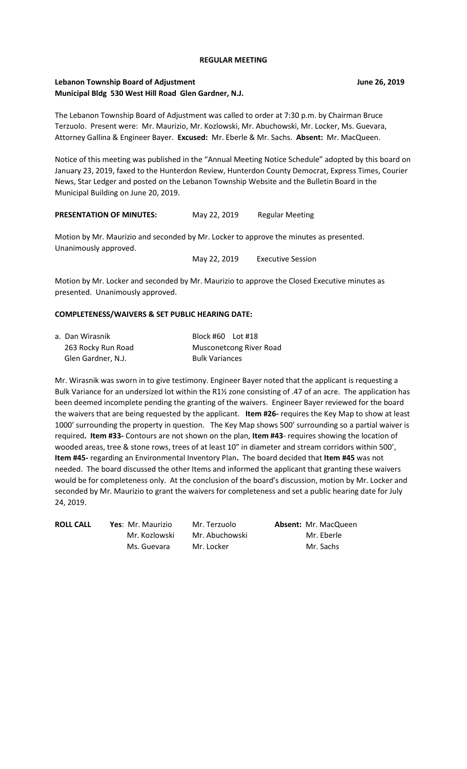### **REGULAR MEETING**

## **Lebanon Township Board of Adjustment June 26, 2019 Municipal Bldg 530 West Hill Road Glen Gardner, N.J.**

The Lebanon Township Board of Adjustment was called to order at 7:30 p.m. by Chairman Bruce Terzuolo. Present were: Mr. Maurizio, Mr. Kozlowski, Mr. Abuchowski, Mr. Locker, Ms. Guevara, Attorney Gallina & Engineer Bayer. **Excused:** Mr. Eberle & Mr. Sachs. **Absent:** Mr. MacQueen.

Notice of this meeting was published in the "Annual Meeting Notice Schedule" adopted by this board on January 23, 2019, faxed to the Hunterdon Review, Hunterdon County Democrat, Express Times, Courier News, Star Ledger and posted on the Lebanon Township Website and the Bulletin Board in the Municipal Building on June 20, 2019.

| <b>PRESENTATION OF MINUTES:</b> | May 22, 2019 | <b>Regular Meeting</b> |
|---------------------------------|--------------|------------------------|
|                                 |              |                        |

Motion by Mr. Maurizio and seconded by Mr. Locker to approve the minutes as presented. Unanimously approved.

May 22, 2019 Executive Session

Motion by Mr. Locker and seconded by Mr. Maurizio to approve the Closed Executive minutes as presented. Unanimously approved.

## **COMPLETENESS/WAIVERS & SET PUBLIC HEARING DATE:**

| a. Dan Wirasnik    | Block #60 Lot #18       |
|--------------------|-------------------------|
| 263 Rocky Run Road | Musconetcong River Road |
| Glen Gardner, N.J. | <b>Bulk Variances</b>   |

Mr. Wirasnik was sworn in to give testimony. Engineer Bayer noted that the applicant is requesting a Bulk Variance for an undersized lot within the R1½ zone consisting of .47 of an acre. The application has been deemed incomplete pending the granting of the waivers. Engineer Bayer reviewed for the board the waivers that are being requested by the applicant. **Item #26-** requires the Key Map to show at least 1000' surrounding the property in question. The Key Map shows 500' surrounding so a partial waiver is required**. Item #33-** Contours are not shown on the plan, **Item #43**- requires showing the location of wooded areas, tree & stone rows, trees of at least 10" in diameter and stream corridors within 500', **Item #45-** regarding an Environmental Inventory Plan**.** The board decided that **Item #45** was not needed. The board discussed the other Items and informed the applicant that granting these waivers would be for completeness only. At the conclusion of the board's discussion, motion by Mr. Locker and seconded by Mr. Maurizio to grant the waivers for completeness and set a public hearing date for July 24, 2019.

**ROLL CALL Yes**: Mr. Maurizio Mr. Terzuolo **Absent:** Mr. MacQueen

Mr. Kozlowski Mr. Abuchowski Mr. Eberle Ms. Guevara Mr. Locker Mr. Sachs